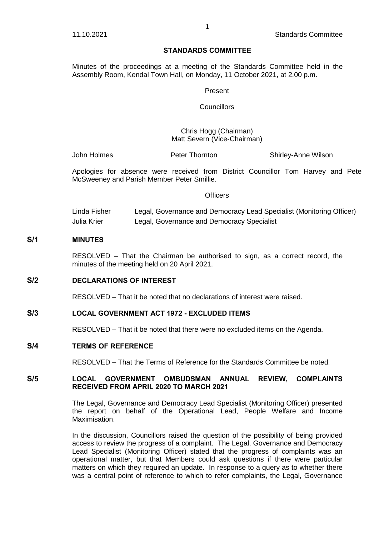### **STANDARDS COMMITTEE**

Minutes of the proceedings at a meeting of the Standards Committee held in the Assembly Room, Kendal Town Hall, on Monday, 11 October 2021, at 2.00 p.m.

#### Present

**Councillors** 

#### Chris Hogg (Chairman) Matt Severn (Vice-Chairman)

John Holmes Peter Thornton Shirley-Anne Wilson

Apologies for absence were received from District Councillor Tom Harvey and Pete McSweeney and Parish Member Peter Smillie.

#### **Officers**

Linda Fisher Legal, Governance and Democracy Lead Specialist (Monitoring Officer) Julia Krier Legal, Governance and Democracy Specialist

## **S/1 MINUTES**

RESOLVED – That the Chairman be authorised to sign, as a correct record, the minutes of the meeting held on 20 April 2021.

## **S/2 DECLARATIONS OF INTEREST**

RESOLVED – That it be noted that no declarations of interest were raised.

## **S/3 LOCAL GOVERNMENT ACT 1972 - EXCLUDED ITEMS**

RESOLVED – That it be noted that there were no excluded items on the Agenda.

#### **S/4 TERMS OF REFERENCE**

RESOLVED – That the Terms of Reference for the Standards Committee be noted.

### **S/5 LOCAL GOVERNMENT OMBUDSMAN ANNUAL REVIEW, COMPLAINTS RECEIVED FROM APRIL 2020 TO MARCH 2021**

The Legal, Governance and Democracy Lead Specialist (Monitoring Officer) presented the report on behalf of the Operational Lead, People Welfare and Income Maximisation.

In the discussion, Councillors raised the question of the possibility of being provided access to review the progress of a complaint. The Legal, Governance and Democracy Lead Specialist (Monitoring Officer) stated that the progress of complaints was an operational matter, but that Members could ask questions if there were particular matters on which they required an update. In response to a query as to whether there was a central point of reference to which to refer complaints, the Legal, Governance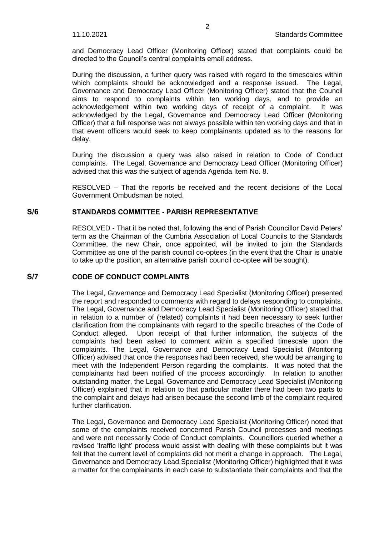and Democracy Lead Officer (Monitoring Officer) stated that complaints could be directed to the Council's central complaints email address.

During the discussion, a further query was raised with regard to the timescales within which complaints should be acknowledged and a response issued. The Legal, which complaints should be acknowledged and a response issued. Governance and Democracy Lead Officer (Monitoring Officer) stated that the Council aims to respond to complaints within ten working days, and to provide an acknowledgement within two working days of receipt of a complaint. It was acknowledged by the Legal, Governance and Democracy Lead Officer (Monitoring Officer) that a full response was not always possible within ten working days and that in that event officers would seek to keep complainants updated as to the reasons for delay.

During the discussion a query was also raised in relation to Code of Conduct complaints. The Legal, Governance and Democracy Lead Officer (Monitoring Officer) advised that this was the subject of agenda Agenda Item No. 8.

RESOLVED – That the reports be received and the recent decisions of the Local Government Ombudsman be noted.

### **S/6 STANDARDS COMMITTEE - PARISH REPRESENTATIVE**

RESOLVED - That it be noted that, following the end of Parish Councillor David Peters' term as the Chairman of the Cumbria Association of Local Councils to the Standards Committee, the new Chair, once appointed, will be invited to join the Standards Committee as one of the parish council co-optees (in the event that the Chair is unable to take up the position, an alternative parish council co-optee will be sought).

### **S/7 CODE OF CONDUCT COMPLAINTS**

The Legal, Governance and Democracy Lead Specialist (Monitoring Officer) presented the report and responded to comments with regard to delays responding to complaints. The Legal, Governance and Democracy Lead Specialist (Monitoring Officer) stated that in relation to a number of (related) complaints it had been necessary to seek further clarification from the complainants with regard to the specific breaches of the Code of Conduct alleged. Upon receipt of that further information, the subjects of the complaints had been asked to comment within a specified timescale upon the complaints. The Legal, Governance and Democracy Lead Specialist (Monitoring Officer) advised that once the responses had been received, she would be arranging to meet with the Independent Person regarding the complaints. It was noted that the complainants had been notified of the process accordingly. In relation to another outstanding matter, the Legal, Governance and Democracy Lead Specialist (Monitoring Officer) explained that in relation to that particular matter there had been two parts to the complaint and delays had arisen because the second limb of the complaint required further clarification.

The Legal, Governance and Democracy Lead Specialist (Monitoring Officer) noted that some of the complaints received concerned Parish Council processes and meetings and were not necessarily Code of Conduct complaints. Councillors queried whether a revised 'traffic light' process would assist with dealing with these complaints but it was felt that the current level of complaints did not merit a change in approach. The Legal, Governance and Democracy Lead Specialist (Monitoring Officer) highlighted that it was a matter for the complainants in each case to substantiate their complaints and that the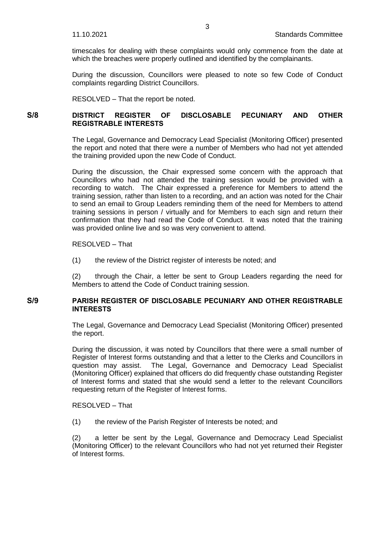timescales for dealing with these complaints would only commence from the date at which the breaches were properly outlined and identified by the complainants.

During the discussion, Councillors were pleased to note so few Code of Conduct complaints regarding District Councillors.

RESOLVED – That the report be noted.

## **S/8 DISTRICT REGISTER OF DISCLOSABLE PECUNIARY AND OTHER REGISTRABLE INTERESTS**

The Legal, Governance and Democracy Lead Specialist (Monitoring Officer) presented the report and noted that there were a number of Members who had not yet attended the training provided upon the new Code of Conduct.

During the discussion, the Chair expressed some concern with the approach that Councillors who had not attended the training session would be provided with a recording to watch. The Chair expressed a preference for Members to attend the training session, rather than listen to a recording, and an action was noted for the Chair to send an email to Group Leaders reminding them of the need for Members to attend training sessions in person / virtually and for Members to each sign and return their confirmation that they had read the Code of Conduct. It was noted that the training was provided online live and so was very convenient to attend.

RESOLVED – That

(1) the review of the District register of interests be noted; and

(2) through the Chair, a letter be sent to Group Leaders regarding the need for Members to attend the Code of Conduct training session.

### **S/9 PARISH REGISTER OF DISCLOSABLE PECUNIARY AND OTHER REGISTRABLE INTERESTS**

The Legal, Governance and Democracy Lead Specialist (Monitoring Officer) presented the report.

During the discussion, it was noted by Councillors that there were a small number of Register of Interest forms outstanding and that a letter to the Clerks and Councillors in question may assist. The Legal, Governance and Democracy Lead Specialist (Monitoring Officer) explained that officers do did frequently chase outstanding Register of Interest forms and stated that she would send a letter to the relevant Councillors requesting return of the Register of Interest forms.

#### RESOLVED – That

(1) the review of the Parish Register of Interests be noted; and

(2) a letter be sent by the Legal, Governance and Democracy Lead Specialist (Monitoring Officer) to the relevant Councillors who had not yet returned their Register of Interest forms.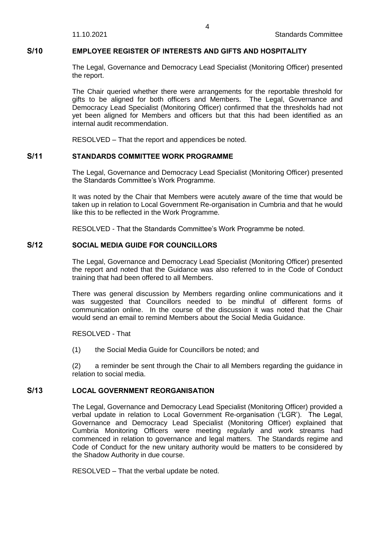## **S/10 EMPLOYEE REGISTER OF INTERESTS AND GIFTS AND HOSPITALITY**

The Legal, Governance and Democracy Lead Specialist (Monitoring Officer) presented the report.

The Chair queried whether there were arrangements for the reportable threshold for gifts to be aligned for both officers and Members. The Legal, Governance and Democracy Lead Specialist (Monitoring Officer) confirmed that the thresholds had not yet been aligned for Members and officers but that this had been identified as an internal audit recommendation.

RESOLVED – That the report and appendices be noted.

## **S/11 STANDARDS COMMITTEE WORK PROGRAMME**

The Legal, Governance and Democracy Lead Specialist (Monitoring Officer) presented the Standards Committee's Work Programme.

It was noted by the Chair that Members were acutely aware of the time that would be taken up in relation to Local Government Re-organisation in Cumbria and that he would like this to be reflected in the Work Programme.

RESOLVED - That the Standards Committee's Work Programme be noted.

# **S/12 SOCIAL MEDIA GUIDE FOR COUNCILLORS**

The Legal, Governance and Democracy Lead Specialist (Monitoring Officer) presented the report and noted that the Guidance was also referred to in the Code of Conduct training that had been offered to all Members.

There was general discussion by Members regarding online communications and it was suggested that Councillors needed to be mindful of different forms of communication online. In the course of the discussion it was noted that the Chair would send an email to remind Members about the Social Media Guidance.

RESOLVED - That

(1) the Social Media Guide for Councillors be noted; and

(2) a reminder be sent through the Chair to all Members regarding the guidance in relation to social media.

### **S/13 LOCAL GOVERNMENT REORGANISATION**

The Legal, Governance and Democracy Lead Specialist (Monitoring Officer) provided a verbal update in relation to Local Government Re-organisation ('LGR'). The Legal, Governance and Democracy Lead Specialist (Monitoring Officer) explained that Cumbria Monitoring Officers were meeting regularly and work streams had commenced in relation to governance and legal matters. The Standards regime and Code of Conduct for the new unitary authority would be matters to be considered by the Shadow Authority in due course.

RESOLVED – That the verbal update be noted.